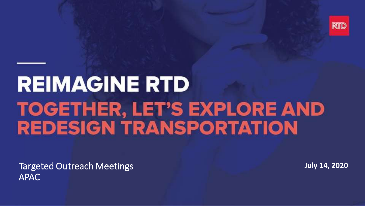

### **REIMAGINE RTD TOGETHER, LET'S EXPLORE AND REDESIGN TRANSPORTATION**

Targeted Outreach Meetings APAC

**July 14, 2020**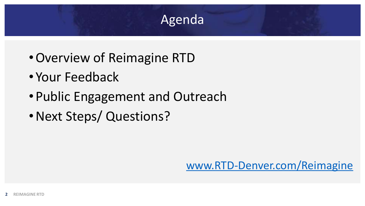#### **Agenda**

- •Overview of Reimagine RTD
- Your Feedback
- •Public Engagement and Outreach
- •Next Steps/ Questions?

[www.RTD-Denver.com/Reimagine](http://www.rtd-denver.com/Reimagine)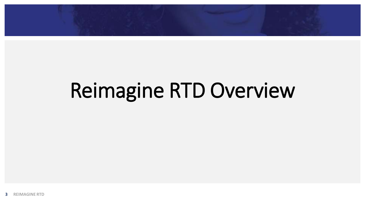## Reimagine RTD Overview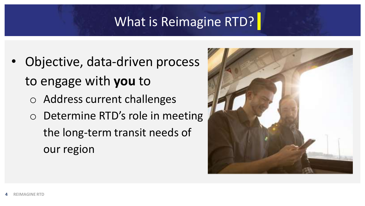#### What is Reimagine RTD?

- Objective, data-driven process to engage with **you** to
	- o Address current challenges
	- o Determine RTD's role in meeting the long-term transit needs of our region

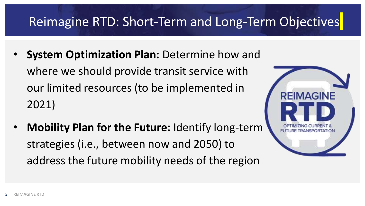#### Reimagine RTD: Short-Term and Long-Term Objectives

- **System Optimization Plan:** Determine how and where we should provide transit service with our limited resources (to be implemented in 2021)
- **Mobility Plan for the Future:** Identify long-term strategies (i.e., between now and 2050) to address the future mobility needs of the region

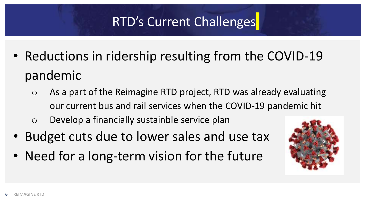### RTD's Current Challenges

- Reductions in ridership resulting from the COVID-19 pandemic
	- o As a part of the Reimagine RTD project, RTD was already evaluating our current bus and rail services when the COVID-19 pandemic hit
	- o Develop a financially sustainble service plan
- Budget cuts due to lower sales and use tax
- Need for a long-term vision for the future

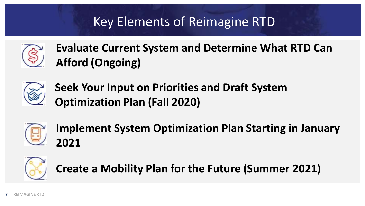### Key Elements of Reimagine RTD



**Evaluate Current System and Determine What RTD Can Afford (Ongoing)**



**Seek Your Input on Priorities and Draft System Optimization Plan (Fall 2020)**



**Implement System Optimization Plan Starting in January 2021**



**Create a Mobility Plan for the Future (Summer 2021)**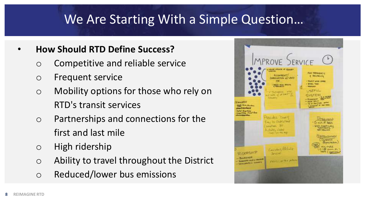#### **We Are Starting With a Simple Question…**

#### • **How Should RTD Define Success?**

- o Competitive and reliable service
- o Frequent service
- o Mobility options for those who rely on RTD's transit services
- o Partnerships and connections for the first and last mile
- o High ridership
- o Ability to travel throughout the District
- o Reduced/lower bus emissions

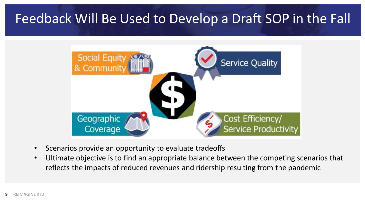#### Feedback Will Be Used to Develop a Draft SOP in the Fall



- Scenarios provide an opportunity to evaluate tradeoffs
- Ultimate objective is to find an appropriate balance between the competing scenarios that reflects the impacts of reduced revenues and ridership resulting from the pandemic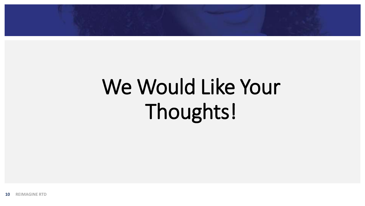

# We Would Like Your Thoughts!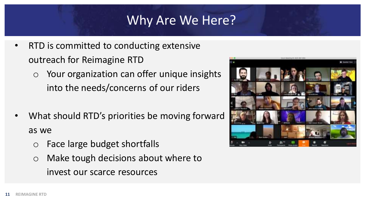#### **Why Are We Here?**

- RTD is committed to conducting extensive outreach for Reimagine RTD
	- o Your organization can offer unique insights into the needs/concerns of our riders
- What should RTD's priorities be moving forward as we
	- o Face large budget shortfalls
	- o Make tough decisions about where to invest our scarce resources

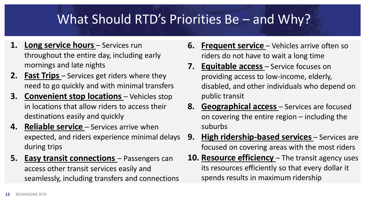### What Should RTD's Priorities Be – and Why?

- **1. Long service hours** Services run throughout the entire day, including early mornings and late nights
- **2. Fast Trips** Services get riders where they need to go quickly and with minimal transfers
- **3. Convenient stop locations** Vehicles stop in locations that allow riders to access their destinations easily and quickly
- **4. Reliable service** Services arrive when expected, and riders experience minimal delays during trips
- **5. Easy transit connections** Passengers can access other transit services easily and seamlessly, including transfers and connections
- **6. Frequent service** Vehicles arrive often so riders do not have to wait a long time
- **7. Equitable access** Service focuses on providing access to low-income, elderly, disabled, and other individuals who depend on public transit
- **8. Geographical access** Services are focused on covering the entire region – including the suburbs
- **9. High ridership-based services** Services are focused on covering areas with the most riders
- **10. Resource efficiency** The transit agency uses its resources efficiently so that every dollar it spends results in maximum ridership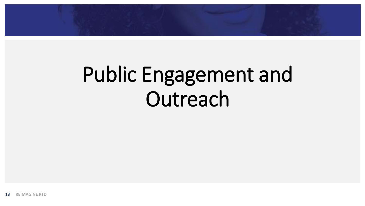

## Public Engagement and **Outreach**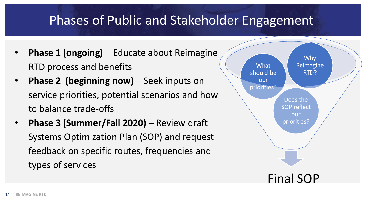#### **Phases of Public and Stakeholder Engagement**

- **Phase 1 (ongoing)**  Educate about Reimagine RTD process and benefits
- **Phase 2 (beginning now)** Seek inputs on service priorities, potential scenarios and how to balance trade-offs
- **Phase 3 (Summer/Fall 2020)**  Review draft Systems Optimization Plan (SOP) and request feedback on specific routes, frequencies and types of services